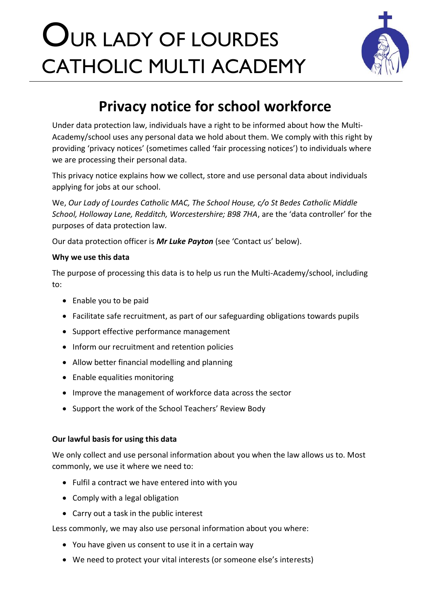# OUR LADY OF LOURDES CATHOLIC MULTI ACADEMY



# **Privacy notice for school workforce**

Under data protection law, individuals have a right to be informed about how the Multi-Academy/school uses any personal data we hold about them. We comply with this right by providing 'privacy notices' (sometimes called 'fair processing notices') to individuals where we are processing their personal data.

This privacy notice explains how we collect, store and use personal data about individuals applying for jobs at our school.

We, *Our Lady of Lourdes Catholic MAC, The School House, c/o St Bedes Catholic Middle School, Holloway Lane, Redditch, Worcestershire; B98 7HA*, are the 'data controller' for the purposes of data protection law.

Our data protection officer is *Mr Luke Payton* (see 'Contact us' below).

#### **Why we use this data**

The purpose of processing this data is to help us run the Multi-Academy/school, including to:

- Enable you to be paid
- Facilitate safe recruitment, as part of our safeguarding obligations towards pupils
- Support effective performance management
- Inform our recruitment and retention policies
- Allow better financial modelling and planning
- Enable equalities monitoring
- Improve the management of workforce data across the sector
- Support the work of the School Teachers' Review Body

#### **Our lawful basis for using this data**

We only collect and use personal information about you when the law allows us to. Most commonly, we use it where we need to:

- Fulfil a contract we have entered into with you
- Comply with a legal obligation
- Carry out a task in the public interest

Less commonly, we may also use personal information about you where:

- You have given us consent to use it in a certain way
- We need to protect your vital interests (or someone else's interests)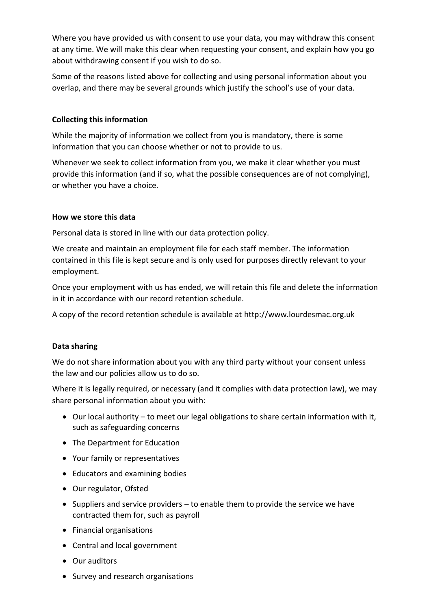Where you have provided us with consent to use your data, you may withdraw this consent at any time. We will make this clear when requesting your consent, and explain how you go about withdrawing consent if you wish to do so.

Some of the reasons listed above for collecting and using personal information about you overlap, and there may be several grounds which justify the school's use of your data.

#### **Collecting this information**

While the majority of information we collect from you is mandatory, there is some information that you can choose whether or not to provide to us.

Whenever we seek to collect information from you, we make it clear whether you must provide this information (and if so, what the possible consequences are of not complying), or whether you have a choice.

## **How we store this data**

Personal data is stored in line with our data protection policy.

We create and maintain an employment file for each staff member. The information contained in this file is kept secure and is only used for purposes directly relevant to your employment.

Once your employment with us has ended, we will retain this file and delete the information in it in accordance with our record retention schedule.

A copy of the record retention schedule is available at http://www.lourdesmac.org.uk

# **Data sharing**

We do not share information about you with any third party without your consent unless the law and our policies allow us to do so.

Where it is legally required, or necessary (and it complies with data protection law), we may share personal information about you with:

- Our local authority to meet our legal obligations to share certain information with it, such as safeguarding concerns
- The Department for Education
- Your family or representatives
- Educators and examining bodies
- Our regulator, Ofsted
- Suppliers and service providers to enable them to provide the service we have contracted them for, such as payroll
- Financial organisations
- Central and local government
- Our auditors
- Survey and research organisations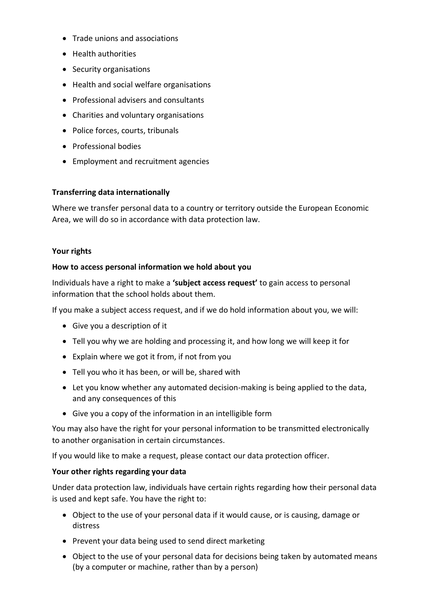- Trade unions and associations
- Health authorities
- Security organisations
- Health and social welfare organisations
- Professional advisers and consultants
- Charities and voluntary organisations
- Police forces, courts, tribunals
- Professional bodies
- Employment and recruitment agencies

#### **Transferring data internationally**

Where we transfer personal data to a country or territory outside the European Economic Area, we will do so in accordance with data protection law.

#### **Your rights**

#### **How to access personal information we hold about you**

Individuals have a right to make a **'subject access request'** to gain access to personal information that the school holds about them.

If you make a subject access request, and if we do hold information about you, we will:

- Give you a description of it
- Tell you why we are holding and processing it, and how long we will keep it for
- Explain where we got it from, if not from you
- Tell you who it has been, or will be, shared with
- Let you know whether any automated decision-making is being applied to the data, and any consequences of this
- Give you a copy of the information in an intelligible form

You may also have the right for your personal information to be transmitted electronically to another organisation in certain circumstances.

If you would like to make a request, please contact our data protection officer.

#### **Your other rights regarding your data**

Under data protection law, individuals have certain rights regarding how their personal data is used and kept safe. You have the right to:

- Object to the use of your personal data if it would cause, or is causing, damage or distress
- Prevent your data being used to send direct marketing
- Object to the use of your personal data for decisions being taken by automated means (by a computer or machine, rather than by a person)